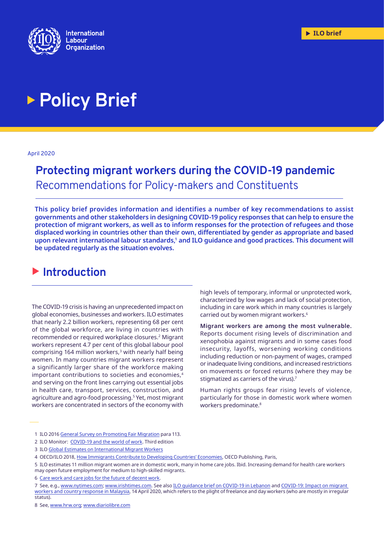

# **Policy Brief**

#### April 2020

# **Protecting migrant workers during the COVID-19 pandemic** Recommendations for Policy-makers and Constituents

**This policy brief provides information and identifies a number of key recommendations to assist governments and other stakeholders in designing COVID-19 policy responses that can help to ensure the protection of migrant workers, as well as to inform responses for the protection of refugees and those displaced working in countries other than their own, differentiated by gender as appropriate and based**  upon relevant international labour standards,<sup>1</sup> and ILO guidance and good practices. This document will **be updated regularly as the situation evolves.**

## $\blacktriangleright$  Introduction

The COVID-19 crisis is having an unprecedented impact on global economies, businesses and workers. ILO estimates that nearly 2.2 billion workers, representing 68 per cent of the global workforce, are living in countries with recommended or required workplace closures.2 Migrant workers represent 4.7 per cent of this global labour pool comprising 164 million workers, $3$  with nearly half being women. In many countries migrant workers represent a significantly larger share of the workforce making important contributions to societies and economies,4 and serving on the front lines carrying out essential jobs in health care, transport, services, construction, and agriculture and agro-food processing.5 Yet, most migrant workers are concentrated in sectors of the economy with

high levels of temporary, informal or unprotected work, characterized by low wages and lack of social protection, including in care work which in many countries is largely carried out by women migrant workers.6

**Migrant workers are among the most vulnerable.**  Reports document rising levels of discrimination and xenophobia against migrants and in some cases food insecurity, layoffs, worsening working conditions including reduction or non-payment of wages, cramped or inadequate living conditions, and increased restrictions on movements or forced returns (where they may be stigmatized as carriers of the virus).7

Human rights groups fear rising levels of violence, particularly for those in domestic work where women workers predominate.<sup>8</sup>

8 See, [www.hrw.org;](https://www.hrw.org/news/2020/04/06/domestic-workers-middle-east-risk-abuse-amid-covid-19-crisis) [www.diariolibre.com](https://www.diariolibre.com/economia/no-tenemos-comida-ni-dinero-y-nadie-se-preocupa-por-nosotros-AP18246767)

<sup>1</sup> ILO 2016 [General Survey on Promoting Fair Migration](https://www.ilo.org/wcmsp5/groups/public/---ed_norm/---relconf/documents/meetingdocument/wcms_453898.pdf) para 113.

<sup>2</sup> ILO Monitor: [COVID-19 and the world of work.](https://www.ilo.org/wcmsp5/groups/public/@dgreports/@dcomm/documents/briefingnote/wcms_743146.pdf) Third edition

<sup>3</sup> ILO [Global Estimates on International Migrant Workers](https://www.ilo.org/global/publications/books/WCMS_652001/lang--en/index.htm)

<sup>4</sup> OECD/ILO 2018, [How Immigrants Contribute to Developing Countries' Economies,](https://www.ilo.org/global/topics/labour-migration/projects/WCMS_616038/lang--en/index.htm) OECD Publishing, Paris,

<sup>5</sup> ILO estimates 11 million migrant women are in domestic work, many in home care jobs. Ibid. Increasing demand for health care workers may open future employment for medium to high-skilled migrants.

<sup>6</sup> [Care work and care jobs for the future of decent](https://www.ilo.org/wcmsp5/groups/public/---dgreports/---dcomm/---publ/documents/publication/wcms_633135.pdf) work.

<sup>7</sup> See, e.g., [www.nytimes.com](https://www.nytimes.com/2020/04/13/world/middleeast/persian-gulf-migrants-coronavirus.html); [www.irishtimes.com.](https://www.irishtimes.com/news/world/middle-east/saudi-arabia-repatriating-thousands-of-migrants-back-to-ethiopia-1.4227393) See also [ILO guidance brief on COVID-19 in Lebanon](https://www.ilo.org/beirut/media-centre/news/WCMS_741598/lang--en/index.htm) and [COVID-19: Impact on migrant](https://www.ilo.org/asia/publications/issue-briefs/WCMS_741512/lang--en/index.htm)  [workers and country response in Malaysia,](https://www.ilo.org/asia/publications/issue-briefs/WCMS_741512/lang--en/index.htm) 14 April 2020, which refers to the plight of freelance and day workers (who are mostly in irregular status).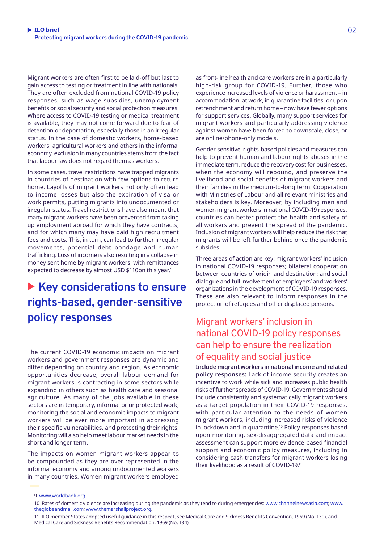Migrant workers are often first to be laid-off but last to gain access to testing or treatment in line with nationals. They are often excluded from national COVID-19 policy responses, such as wage subsidies, unemployment benefits or social security and social protection measures. Where access to COVID-19 testing or medical treatment is available, they may not come forward due to fear of detention or deportation, especially those in an irregular status. In the case of domestic workers, home-based workers, agricultural workers and others in the informal economy, exclusion in many countries stems from the fact that labour law does not regard them as workers.

In some cases, travel restrictions have trapped migrants in countries of destination with few options to return home. Layoffs of migrant workers not only often lead to income losses but also the expiration of visa or work permits, putting migrants into undocumented or irregular status. Travel restrictions have also meant that many migrant workers have been prevented from taking up employment abroad for which they have contracts, and for which many may have paid high recruitment fees and costs. This, in turn, can lead to further irregular movements, potential debt bondage and human trafficking. Loss of income is also resulting in a collapse in money sent home by migrant workers, with remittances expected to decrease by almost USD \$110bn this year.<sup>9</sup>

# ▶ Key considerations to ensure **rights-based, gender-sensitive policy responses**

The current COVID-19 economic impacts on migrant workers and government responses are dynamic and differ depending on country and region. As economic opportunities decrease, overall labour demand for migrant workers is contracting in some sectors while expanding in others such as health care and seasonal agriculture. As many of the jobs available in these sectors are in temporary, informal or unprotected work, monitoring the social and economic impacts to migrant workers will be ever more important in addressing their specific vulnerabilities, and protecting their rights. Monitoring will also help meet labour market needs in the short and longer term.

The impacts on women migrant workers appear to be compounded as they are over-represented in the informal economy and among undocumented workers in many countries. Women migrant workers employed

as front-line health and care workers are in a particularly high-risk group for COVID-19. Further, those who experience increased levels of violence or harassment – in accommodation, at work, in quarantine facilities, or upon retrenchment and return home – now have fewer options for support services. Globally, many support services for migrant workers and particularly addressing violence against women have been forced to downscale, close, or are online/phone-only models.

Gender-sensitive, rights-based policies and measures can help to prevent human and labour rights abuses in the immediate term, reduce the recovery cost for businesses, when the economy will rebound, and preserve the livelihood and social benefits of migrant workers and their families in the medium-to-long term. Cooperation with Ministries of Labour and all relevant ministries and stakeholders is key. Moreover, by including men and women migrant workers in national COVID-19 responses, countries can better protect the health and safety of all workers and prevent the spread of the pandemic. Inclusion of migrant workers will help reduce the risk that migrants will be left further behind once the pandemic subsides.

Three areas of action are key: migrant workers' inclusion in national COVID-19 responses; bilateral cooperation between countries of origin and destination; and social dialogue and full involvement of employers' and workers' organizations in the development of COVID-19 responses. These are also relevant to inform responses in the protection of refugees and other displaced persons.

### Migrant workers' inclusion in national COVID-19 policy responses can help to ensure the realization of equality and social justice

**Include migrant workers in national income and related policy responses:** Lack of income security creates an incentive to work while sick and increases public health risks of further spreads of COVID-19. Governments should include consistently and systematically migrant workers as a target population in their COVID-19 responses, with particular attention to the needs of women migrant workers, including increased risks of violence in lockdown and in quarantine.10 Policy responses based upon monitoring, sex-disaggregated data and impact assessment can support more evidence-based financial support and economic policy measures, including in considering cash transfers for migrant workers losing their livelihood as a result of COVID-19.11

11 ILO member States adopted useful guidance in this respect, see Medical Care and Sickness Benefits Convention, 1969 (No. 130), and Medical Care and Sickness Benefits Recommendation, 1969 (No. 134)

<sup>9</sup> [www.worldbank.org](https://www.worldbank.org/en/news/press-release/2020/04/22/world-bank-predicts-sharpest-decline-of-remittances-in-recent-history)

<sup>10</sup> Rates of domestic violence are increasing during the pandemic as they tend to during emergencies: [www.channelnewsasia.com;](https://www.channelnewsasia.com/news/commentary/coronavirus-covid-19-family-violence-abuse-women-self-isolation-12575026) [www.](https://www.theglobeandmail.com/world/article-domestic-violence-reports-rise-in-china-amid-covid-19-lockdown/) [theglobeandmail.com;](https://www.theglobeandmail.com/world/article-domestic-violence-reports-rise-in-china-amid-covid-19-lockdown/) [www.themarshallproject.org](https://www.themarshallproject.org/2020/04/22/is-domestic-violence-rising-during-the-coronavirus-shutdown-here-s-what-the-data-shows).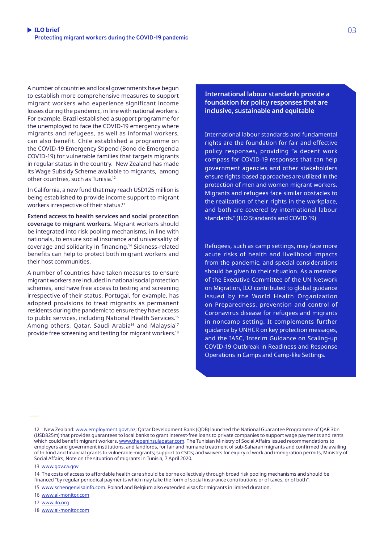A number of countries and local governments have begun to establish more comprehensive measures to support migrant workers who experience significant income losses during the pandemic, in line with national workers. For example, Brazil established a support programme for the unemployed to face the COVID-19 emergency where migrants and refugees, as well as informal workers, can also benefit. Chile established a programme on the COVID-19 Emergency Stipend (Bono de Emergencia COVID-19) for vulnerable families that targets migrants in regular status in the country. New Zealand has made its Wage Subsidy Scheme available to migrants, among other countries, such as Tunisia.12

In California, a new fund that may reach USD125 million is being established to provide income support to migrant workers irrespective of their status.13

**Extend access to health services and social protection coverage to migrant workers.** Migrant workers should be integrated into risk pooling mechanisms, in line with nationals, to ensure social insurance and universality of coverage and solidarity in financing.14 Sickness-related benefits can help to protect both migrant workers and their host communities.

A number of countries have taken measures to ensure migrant workers are included in national social protection schemes, and have free access to testing and screening irrespective of their status. Portugal, for example, has adopted provisions to treat migrants as permanent residents during the pandemic to ensure they have access to public services, including National Health Services.15 Among others, Qatar, Saudi Arabia<sup>16</sup> and Malaysia<sup>17</sup> provide free screening and testing for migrant workers.18 **International labour standards provide a foundation for policy responses that are inclusive, sustainable and equitable**

International labour standards and fundamental rights are the foundation for fair and effective policy responses, providing "a decent work compass for COVID-19 responses that can help government agencies and other stakeholders ensure rights-based approaches are utilized in the protection of men and women migrant workers. Migrants and refugees face similar obstacles to the realization of their rights in the workplace, and both are covered by international labour standards." ([ILO Standards and COVID 19\)](https://www.ilo.org/global/standards/WCMS_739937/lang--en/index.htm)

Refugees, such as camp settings, may face more acute risks of health and livelihood impacts from the pandemic, and special considerations should be given to their situation. As a member of the Executive Committee of the UN Network on Migration, ILO contributed to global guidance issued by the World Health Organization on Preparedness, prevention and control of Coronavirus disease for refugees and migrants in noncamp setting. It complements further guidance by UNHCR on key protection messages, and the IASC, Interim Guidance on Scaling-up COVID-19 Outbreak in Readiness and Response Operations in Camps and Camp-like Settings.

#### 13 [www.gov.ca.gov](https://www.gov.ca.gov/2020/04/15/governor-newsom-announces-new-initiatives-to-support-california-workers-impacted-by-covid-19/)

14 The costs of access to affordable health care should be borne collectively through broad risk pooling mechanisms and should be financed "by regular periodical payments which may take the form of social insurance contributions or of taxes, or of both".

15 [www.schengenvisainfo.com](https://www.schengenvisainfo.com/news/portugal-grants-migrants-and-asylum-seekers-full-citizenship-rights-during-covid-19/). Poland and Belgium also extended visas for migrants in limited duration.

16 [www.al-monitor.com](https://www.al-monitor.com/pulse/originals/2020/03/saudi-arabia-coronavirus-treatment-pay-health-covid19.html)

17 [www.ilo.org](https://www.ilo.org/asia/publications/WCMS_741512/lang--en/index.htm)

18 [www.al-monitor.com](https://www.al-monitor.com/pulse/originals/2020/03/saudi-arabia-coronavirus-treatment-pay-health-covid19.html)

<sup>12</sup> New Zealand: [www.employment.govt.nz](https://www.employment.govt.nz/leave-and-holidays/other-types-of-leave/coronavirus-workplace/wage-subsidy/); Qatar Development Bank (QDB) launched the National Guarantee Programme of QAR 3bn (USD825m) that provides guarantees to local banks to grant interest-free loans to private companies to support wage payments and rents which could benefit migrant workers. [www.thepeninsulaqatar.com.](https://www.thepeninsulaqatar.com/article/08/04/2020/QIB-rolls-out-Qatar%E2%80%99s-NRGP-to-support-private-sector) The Tunisian Ministry of Social Affairs issued recommendations to employers and government institutions, and landlords, for fair and humane treatment of sub-Saharan migrants and confirmed the availing of In-kind and financial grants to vulnerable migrants; support to CSOs; and waivers for expiry of work and immigration permits, Ministry of Social Affairs, Note on the situation of migrants in Tunisia, 7 April 2020.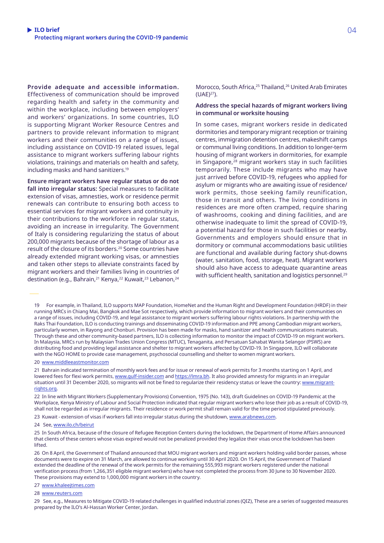**Provide adequate and accessible information.** Effectiveness of communication should be improved regarding health and safety in the community and within the workplace, including between employers' and workers' organizations. In some countries, ILO is supporting Migrant Worker Resource Centres and partners to provide relevant information to migrant workers and their communities on a range of issues, including assistance on COVID-19 related issues, legal assistance to migrant workers suffering labour rights violations, trainings and materials on health and safety, including masks and hand sanitizers.19

**Ensure migrant workers have regular status or do not fall into irregular status:** Special measures to facilitate extension of visas, amnesties, work or residence permit renewals can contribute to ensuring both access to essential services for migrant workers and continuity in their contributions to the workforce in regular status, avoiding an increase in irregularity. The Government of Italy is considering regularizing the status of about 200,000 migrants because of the shortage of labour as a result of the closure of its borders.20 Some countries have already extended migrant working visas, or amnesties and taken other steps to alleviate constraints faced by migrant workers and their families living in countries of destination (e.g., Bahrain, <sup>21</sup> Kenya, <sup>22</sup> Kuwait, <sup>23</sup> Lebanon, <sup>24</sup>

Morocco, South Africa,<sup>25</sup> Thailand,<sup>26</sup> United Arab Emirates (UAE)27).

#### **Address the special hazards of migrant workers living in communal or worksite housing**

In some cases, migrant workers reside in dedicated dormitories and temporary migrant reception or training centres, immigration detention centres, makeshift camps or communal living conditions. In addition to longer-term housing of migrant workers in dormitories, for example in Singapore,28 migrant workers stay in such facilities temporarily. These include migrants who may have just arrived before COVID-19, refugees who applied for asylum or migrants who are awaiting issue of residence/ work permits, those seeking family reunification, those in transit and others. The living conditions in residences are more often cramped, require sharing of washrooms, cooking and dining facilities, and are otherwise inadequate to limit the spread of COVID-19, a potential hazard for those in such facilities or nearby. Governments and employers should ensure that in dormitory or communal accommodations basic utilities are functional and available during factory shut-downs (water, sanitation, food, storage, heat). Migrant workers should also have access to adequate quarantine areas with sufficient health, sanitation and logistics personnel.<sup>29</sup>

19 For example, in Thailand, ILO supports MAP Foundation, HomeNet and the Human Right and Development Foundation (HRDF) in their running MRCs in Chiang Mai, Bangkok and Mae Sot respectively, which provide information to migrant workers and their communities on a range of issues, including COVID-19, and legal assistance to migrant workers suffering labour rights violations. In partnership with the Raks Thai Foundation, ILO is conducting trainings and disseminating COVID-19 information and PPE among Cambodian migrant workers, particularly women, in Rayong and Chonburi. Provision has been made for masks, hand sanitizer and health communications materials. Through these and other community-based partners, ILO is collecting information to monitor the impact of COVID-19 on migrant workers. In Malaysia, MRCs run by Malaysian Trades Union Congress (MTUC), Tenaganita, and Persatuan Sahabat Wanita Selangor (PSWS) are distributing food and providing legal assistance and shelter to migrant workers affected by COVID-19. In Singapore, ILO will collaborate with the NGO HOME to provide case management, psychosocial counselling and shelter to women migrant workers.

20 [www.middleeastmonitor.com](https://www.middleeastmonitor.com/20200422-italy-to-legalise-200000-migrants-to-tackle-labour-shortage/)

21 Bahrain indicated termination of monthly work fees and for issue or renewal of work permits for 3 months starting on 1 April, and lowered fees for flexi work permits, [www.gulf-insider.com](https://www.gulf-insider.com/bahrain-lmra-monthly-work-fees-to-be-terminated/) and [https://lmra.bh.](https://lmra.bh/portal/en/page/show/325) It also provided amnesty for migrants in an irregular situation until 31 December 2020, so migrants will not be fined to regularize their residency status or leave the country: [www.migrant](https://www.migrant-rights.org/2020/04/bahrain-announces-amnesty-for-irregular-migrants-and-cuts-in-flexi-permit-fees/)[rights.org.](https://www.migrant-rights.org/2020/04/bahrain-announces-amnesty-for-irregular-migrants-and-cuts-in-flexi-permit-fees/)

22 In line with Migrant Workers (Supplementary Provisions) Convention, 1975 (No. 143), draft Guidelines on COVID-19 Pandemic at the Workplace, Kenya Ministry of Labour and Social Protection indicated that regular migrant workers who lose their job as a result of COVID-19, shall not be regarded as irregular migrants. Their residence or work permit shall remain valid for the time period stipulated previously.

23 Kuwait - extension of visas if workers fall into irregular status during the shutdown, [www.arabnews.com](https://www.arabnews.com/node/1659611/middle-east).

24 See, [www.ilo.ch/beirut](http://www.ilo.ch/beirut/publications/WCMS_741604/lang--en/index.htm)

25 In South Africa, because of the closure of Refugee Reception Centers during the lockdown, the Department of Home Affairs announced that clients of these centers whose visas expired would not be penalized provided they legalize their visas once the lockdown has been lifted.

26 On 8 April, the Government of Thailand announced that MOU migrant workers and migrant workers holding valid border passes, whose documents were to expire on 31 March, are allowed to continue working until 30 April 2020. On 15 April, the Government of Thailand extended the deadline of the renewal of the work permits for the remaining 555,993 migrant workers registered under the national verification process (from 1,266,351 eligible migrant workers) who have not completed the process from 30 June to 30 November 2020. These provisions may extend to 1,000,000 migrant workers in the country.

27 [www.khaleejtimes.com](https://www.khaleejtimes.com/coronavirus-pandemic/coronavirus-confirmed-cases-of-coronavirus-surpass-2-million-worldwide--)

28 [www.reuters.com](https://www.reuters.com/article/us-health-coronavirus-singapore-migrants/in-singapore-migrant-coronavirus-cases-highlight-containment-weak-link-idUSKCN21X19G)

29 See, e.g., Measures to Mitigate COVID-19 related challenges in qualified industrial zones (QIZ), These are a series of suggested measures prepared by the ILO's Al-Hassan Worker Center, Jordan.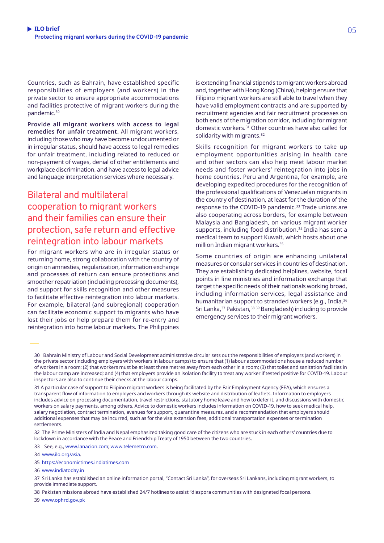Countries, such as Bahrain, have established specific responsibilities of employers (and workers) in the private sector to ensure appropriate accommodations and facilities protective of migrant workers during the pandemic.<sup>30</sup>

**Provide all migrant workers with access to legal remedies for unfair treatment.** All migrant workers, including those who may have become undocumented or in irregular status, should have access to legal remedies for unfair treatment, including related to reduced or non-payment of wages, denial of other entitlements and workplace discrimination, and have access to legal advice and language interpretation services where necessary.

### Bilateral and multilateral cooperation to migrant workers and their families can ensure their protection, safe return and effective reintegration into labour markets

For migrant workers who are in irregular status or returning home, strong collaboration with the country of origin on amnesties, regularization, information exchange and processes of return can ensure protections and smoother repatriation (including processing documents), and support for skills recognition and other measures to facilitate effective reintegration into labour markets. For example, bilateral (and subregional) cooperation can facilitate economic support to migrants who have lost their jobs or help prepare them for re-entry and reintegration into home labour markets. The Philippines

is extending financial stipends to migrant workers abroad and, together with Hong Kong (China), helping ensure that Filipino migrant workers are still able to travel when they have valid employment contracts and are supported by recruitment agencies and fair recruitment processes on both ends of the migration corridor, including for migrant domestic workers.31 Other countries have also called for solidarity with migrants.<sup>32</sup>

Skills recognition for migrant workers to take up employment opportunities arising in health care and other sectors can also help meet labour market needs and foster workers' reintegration into jobs in home countries. Peru and Argentina, for example, are developing expedited procedures for the recognition of the professional qualifications of Venezuelan migrants in the country of destination, at least for the duration of the response to the COVID-19 pandemic.<sup>33</sup> Trade unions are also cooperating across borders, for example between Malaysia and Bangladesh, on various migrant worker supports, including food distribution.<sup>34</sup> India has sent a medical team to support Kuwait, which hosts about one million Indian migrant workers.35

Some countries of origin are enhancing unilateral measures or consular services in countries of destination. They are establishing dedicated helplines, website, focal points in line ministries and information exchange that target the specific needs of their nationals working broad, including information services, legal assistance and humanitarian support to stranded workers (e.g., India, 36 Sri Lanka,<sup>37</sup> Pakistan,<sup>38 39</sup> Bangladesh) including to provide emergency services to their migrant workers.

32 The Prime Ministers of India and Nepal emphasized taking good care of the citizens who are stuck in each others' countries due to lockdown in accordance with the Peace and Friendship Treaty of 1950 between the two countries.

33 See, e.g., [www.lanacion.com;](https://www.lanacion.com.ar/sociedad/coronavirus-municipios-provincia-buenos-aires-sumaran-medicos-nid2346577) [www.telemetro.com](https://www.telemetro.com/internacionales/2020/04/12/peru-abre-la-puerta-a-contratar-medicos-extranjeros-para-enfrentar-covid-19/2768677.html).

34 [www.ilo.org/asia](https://www.ilo.org/asia/publications/WCMS_741512/lang--en/index.htm).

35 [https://economictimes.indiatimes.com](https://economictimes.indiatimes.com/news/politics-and-nation/india-sends-medical-team-to-kuwait-to-fight-covid-strengthening-neighbourhood-policy/articleshow/75097290.cms?from=mdr)

36 [www.indiatoday.in](https://www.indiatoday.in/india/story/coronavirus-pandemic-mea-launches-helplines-for-those-seeking-assistance-1656212-2020-03-16)

38 Pakistan missions abroad have established 24/7 hotlines to assist "diaspora communities with designated focal persons.

39 [www.ophrd.gov.pk](http://www.ophrd.gov.pk/Detail/ZTBmMTE5ZmEtMzQyNi00OWU2LThiMDctZThmZDVlZjMzMTk2)

<sup>30</sup> Bahrain Ministry of Labour and Social Development administrative circular sets out the responsibilities of employers (and workers) in the private sector (including employers with workers in labour camps) to ensure that (1) labour accommodations house a reduced number of workers in a room; (2) that workers must be at least three metres away from each other in a room; (3) that toilet and sanitation facilities in the labour camp are increased; and (4) that employers provide an isolation facility to treat any worker if tested positive for COVID-19. Labour inspectors are also to continue their checks at the labour camps.

<sup>31</sup> A particular case of support to Filipino migrant workers is being facilitated by the Fair Employment Agency (FEA), which ensures a transparent flow of information to employers and workers through its website and distribution of leaflets. Information to employers includes advice on processing documentation, travel restrictions, statutory home leave and how to defer it, and discussions with domestic workers on salary payments, among others. Advice to domestic workers includes information on COVID-19, how to seek medical help, salary negotiation, contract termination, avenues for support, quarantine measures, and a recommendation that employers should additional expenses that may be incurred, such as for the visa extension fees, additional transportation expenses or termination settlements.

<sup>37</sup> Sri Lanka has established an online information portal, "Contact Sri Lanka", for overseas Sri Lankans, including migrant workers, to provide immediate support.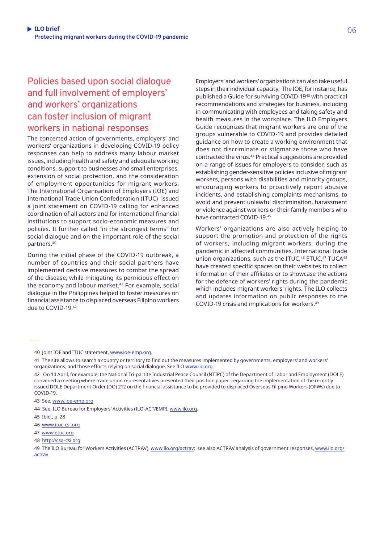### Policies based upon social dialogue and full involvement of employers' and workers' organizations can foster inclusion of migrant workers in national responses

The concerted action of governments, employers' and workers' organizations in developing COVID-19 policy responses can help to address many labour market issues, including health and safety and adequate working conditions, support to businesses and small enterprises, extension of social protection, and the consideration of employment opportunities for migrant workers. The International Organisation of Employers (IOE) and International Trade Union Confederation (ITUC) issued a joint statement on COVID-19 calling for enhanced coordination of all actors and for international financial institutions to support socio-economic measures and policies. It further called "in the strongest terms" for social dialogue and on the important role of the social partners.40

During the initial phase of the COVID-19 outbreak, a number of countries and their social partners have implemented decisive measures to combat the spread of the disease, while mitigating its pernicious effect on the economy and labour market.<sup>41</sup> For example, social dialogue in the Philippines helped to foster measures on financial assistance to displaced overseas Filipino workers due to COVID-19.42

Employers' and workers' organizations can also take useful steps in their individual capacity. The IOE, for instance, has published a Guide for surviving COVID-1943 with practical recommendations and strategies for business, including in communicating with employees and taking safety and health measures in the workplace. The ILO Employers Guide recognizes that migrant workers are one of the groups vulnerable to COVID-19 and provides detailed guidance on how to create a working environment that does not discriminate or stigmatize those who have contracted the virus.44 Practical suggestions are provided on a range of issues for employers to consider, such as establishing gender-sensitive policies inclusive of migrant workers, persons with disabilities and minority groups, encouraging workers to proactively report abusive incidents, and establishing complaints mechanisms, to avoid and prevent unlawful discrimination, harassment or violence against workers or their family members who have contracted COVID-19.45

Workers' organizations are also actively helping to support the promotion and protection of the rights of workers, including migrant workers, during the pandemic in affected communities. International trade union organizations, such as the ITUC, $46$  ETUC, $47$  TUCA $48$ have created specific spaces on their websites to collect information of their affiliates or to showcase the actions for the defence of workers' rights during the pandemic which includes migrant workers' rights. The ILO collects and updates information on public responses to the COVID-19 crisis and implications for workers.49

- 46 [www.ituc-csi.org](https://www.ituc-csi.org/covid-19-responses)
- 47 [www.etuc.org](https://www.etuc.org/en/trade-unions-and-coronavirus)

<sup>40</sup> Joint IOE and ITUC statement, [www.ioe-emp.org](https://www.ioe-emp.org/en/news-events-documents/news/news/1584954926-joint-statement-on-covid-19/).

<sup>41</sup> The site allows to search a country or territory to find out the measures implemented by governments, employers' and workers' organizations, and those efforts relying on social dialogue. See ILO [www.ilo.org](https://www.ilo.org/global/topics/coronavirus/country-responses/lang--en/index.htm)

<sup>42</sup> On 14 April, for example, the National Tri-partite Industrial Peace Council (NTIPC) of the Department of Labor and Employment (DOLE) convened a meeting where trade union representatives presented their position paper regarding the implementation of the recently issued DOLE Department Order (DO) 212 on the financial assistance to be provided to displaced Overseas Filipino Workers (OFWs) due to COVID-19.

<sup>43</sup> See, [www.ioe-emp.org](https://www.ioe-emp.org/index.php?eID=dumpFile&t=f&f=146627&token=dbce8eb97c52827206ab1b83f15da0d501170b7a)

<sup>44</sup> See, ILO Bureau for Employers' Activities (ILO-ACT/EMP), [www.ilo.org.](https://www.ilo.org/wcmsp5/groups/public/---ed_dialogue/---act_emp/documents/publication/wcms_740212.pdf)

<sup>45</sup> Ibid., p. 28.

<sup>48</sup> [http://csa-csi.org](http://csa-csi.org/?s=covid)

<sup>49</sup> The ILO Bureau for Workers Activities (ACTRAV), [www.ilo.org/actrav;](https://www.ilo.org/actrav/lang--en/index.htm) see also ACTRAV analysis of government responses, [www.ilo.org/](https://www.ilo.org/actrav/info/pubs/WCMS_740916/lang--en/index.htm) [actrav](https://www.ilo.org/actrav/info/pubs/WCMS_740916/lang--en/index.htm)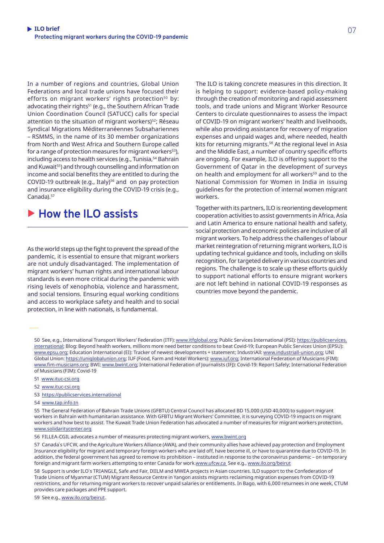In a number of regions and countries, Global Union Federations and local trade unions have focused their efforts on migrant workers' rights protection<sup>50</sup> by: advocating their rights<sup>51</sup> (e.g., the Southern African Trade Union Coordination Council (SATUCC) calls for special attention to the situation of migrant workers)<sup>52</sup>; Réseau Syndical Migrations Méditerranéennes Subsahariennes – RSMMS, in the name of its 30 member organizations from North and West Africa and Southern Europe called for a range of protection measures for migrant workers<sup>53</sup>), including access to health services (e.g., Tunisia,<sup>54</sup> Bahrain and Kuwait<sup>55</sup>) and through counselling and information on income and social benefits they are entitled to during the COVID-19 outbreak (e.g., Italy)<sup>56</sup> and on pay protection and insurance eligibility during the COVID-19 crisis (e.g., Canada).<sup>57</sup>

### ▶ How the ILO assists

As the world steps up the fight to prevent the spread of the pandemic, it is essential to ensure that migrant workers are not unduly disadvantaged. The implementation of migrant workers' human rights and international labour standards is even more critical during the pandemic with rising levels of xenophobia, violence and harassment, and social tensions. Ensuring equal working conditions and access to workplace safety and health and to social protection, in line with nationals, is fundamental.

The ILO is taking concrete measures in this direction. It is helping to support: evidence-based policy-making through the creation of monitoring and rapid assessment tools, and trade unions and Migrant Worker Resource Centers to circulate questionnaires to assess the impact of COVID-19 on migrant workers' health and livelihoods, while also providing assistance for recovery of migration expenses and unpaid wages and, where needed, health kits for returning migrants.<sup>58</sup> At the regional level in Asia and the Middle East, a number of country specific efforts are ongoing. For example, ILO is offering support to the Government of Qatar in the development of surveys on health and employment for all workers<sup>59</sup> and to the National Commission for Women in India in issuing guidelines for the protection of internal women migrant workers.

Together with its partners, ILO is reorienting development cooperation activities to assist governments in Africa, Asia and Latin America to ensure national health and safety, social protection and economic policies are inclusive of all migrant workers. To help address the challenges of labour market reintegration of returning migrant workers, ILO is updating technical guidance and tools, including on skills recognition, for targeted delivery in various countries and regions. The challenge is to scale up these efforts quickly to support national efforts to ensure migrant workers are not left behind in national COVID-19 responses as countries move beyond the pandemic.

50 See, e.g., International Transport Workers' Federation (ITF): [www.itfglobal.org](https://www.itfglobal.org/en/about-us/covid-19-updates); Public Services International (PSI): [https://publicservices.](https://publicservices.international/resources/news/coronavirus-guidance-briefing-for-union-action—update?id=10637&lang=en) [international](https://publicservices.international/resources/news/coronavirus-guidance-briefing-for-union-action—update?id=10637&lang=en); Blog: Beyond health workers, millions more need better conditions to beat Covid-19; European Public Services Union (EPSU): [www.epsu.org](https://www.epsu.org/article/covid-19-national-updates); Education International (EI): Tracker of newest developments + statement; IndustriAll: [www.industriall-union.org;](http://www.industriall-union.org/covid-19) UNI Global Union: [https://uniglobalunion.org;](https://uniglobalunion.org/unions-global-response-covid19) IUF (Food, Farm and Hotel Workers): [www.iuf.org](http://www.iuf.org/show.php?lang=en&tid=384); International Federation of Musicians (FIM): [www.fim-musicians.org](https://www.fim-musicians.org/covid-19-response-of-unions/); BWI: [www.bwint.org;](https://www.bwint.org/cms/covid-19-union-response-1689) International Federation of Journalists (IFJ): Covid-19: Report Safely; International Federation of Musicians (FIM): Covid-19

#### 51 [www.ituc-csi.org](https://www.ituc-csi.org/IMG/pdf/satucc_covid19_statement_-_final_draft.pdf)

- 52 [www.ituc-csi.org](https://www.ituc-csi.org/IMG/pdf/satucc_covid19_statement_-_final_draft.pdf)
- 53 [https://publicservices.international](https://publicservices.international/resources/news/solidarit-et-rponses-pour-faire-face-au-covid-19?id=10707&lang=fr)
- 54 [www.tap.info.tn](https://www.tap.info.tn/en/Portal-Society/12550208-call-to-step-up)

55 The General Federation of Bahrain Trade Unions (GFBTU) Central Council has allocated BD 15,000 (USD 40,000) to support migrant workers in Bahrain with humanitarian assistance. With GFBTU Migrant Workers' Committee, it is surveying COVID-19 impacts on migrant workers and how best to assist. The Kuwait Trade Union Federation has advocated a number of measures for migrant workers protection, [www.solidaritycenter.org](https://www.solidaritycenter.org/migrant-workers-essential-workers-not-only-in-covid-19/)

56 FILLEA-CGIL advocates a number of measures protecting migrant workers, [www.bwint.org](https://www.bwint.org/cms/news-72/italy-unions-inform-migrant-construction-workers-of-gov-t-benefits-vs-covid-19-1724)

57 Canada`s UFCW, and the Agriculture Workers Alliance (AWA), and their community allies have achieved pay protection and Employment Insurance eligibility for migrant and temporary foreign workers who are laid off, have become ill, or have to quarantine due to COVID-19. In addition, the federal government has agreed to remove its prohibition – instituted in response to the coronavirus pandemic – on temporary foreign and migrant farm workers attempting to enter Canada for work.[www.ufcw.ca](http://www.ufcw.ca/index.php?option=com_content&view=art) See e.g., [www.ilo.org/beirut](https://www.ilo.org/beirut/projects/qatar-office/WCMS_740167/lang--en/index.htm. icle&id=32618:ufcw-and-allies-secure-pay-protection-ei-eligibility-for-migrant-workers-during-covid-19-pandemic&catid=10153&Itemid=6&lang=en)

58 Support is under ILO`s TRIANGLE, Safe and Fair, DIILM and MWEA projects in Asian countries. ILO support to the Confederation of Trade Unions of Myanmar (CTUM) Migrant Resource Centre in Yangon assists migrants reclaiming migration expenses from COVID-19 restrictions, and for returning migrant workers to recover unpaid salaries or entitlements. In Bago, with 6,000 returnees in one week, CTUM provides care packages and PPE support.

59 See e.g., [www.ilo.org/beirut](https://www.ilo.org/beirut/projects/qatar-office/WCMS_740167/lang--en/index.htm).